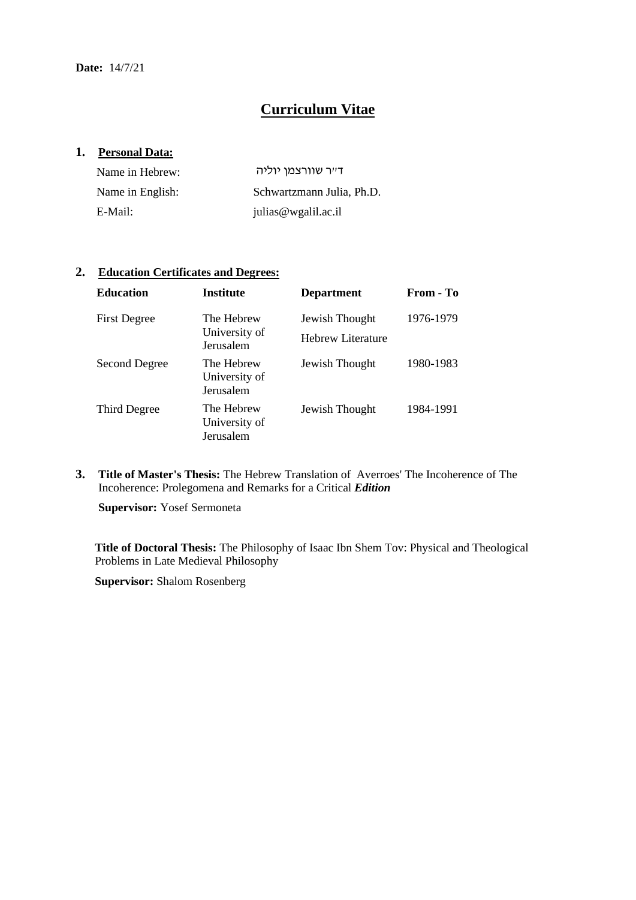# **Curriculum Vitae**

### **1. Personal Data:**

| Name in Hebrew:  | דייר שוורצמן יוליה        |
|------------------|---------------------------|
| Name in English: | Schwartzmann Julia, Ph.D. |
| E-Mail:          | julias@wgalil.ac.il       |

### **2. Education Certificates and Degrees:**

| <b>Education</b>    | <b>Institute</b>                         | <b>Department</b>                   | From - To |
|---------------------|------------------------------------------|-------------------------------------|-----------|
| <b>First Degree</b> | The Hebrew<br>University of<br>Jerusalem | Jewish Thought<br>Hebrew Literature | 1976-1979 |
| Second Degree       | The Hebrew<br>University of<br>Jerusalem | Jewish Thought                      | 1980-1983 |
| Third Degree        | The Hebrew<br>University of<br>Jerusalem | Jewish Thought                      | 1984-1991 |

**3. Title of Master's Thesis:** The Hebrew Translation of Averroes' The Incoherence of The Incoherence: Prolegomena and Remarks for a Critical *Edition*

**Supervisor:** Yosef Sermoneta

**Title of Doctoral Thesis:** The Philosophy of Isaac Ibn Shem Tov: Physical and Theological Problems in Late Medieval Philosophy

**Supervisor:** Shalom Rosenberg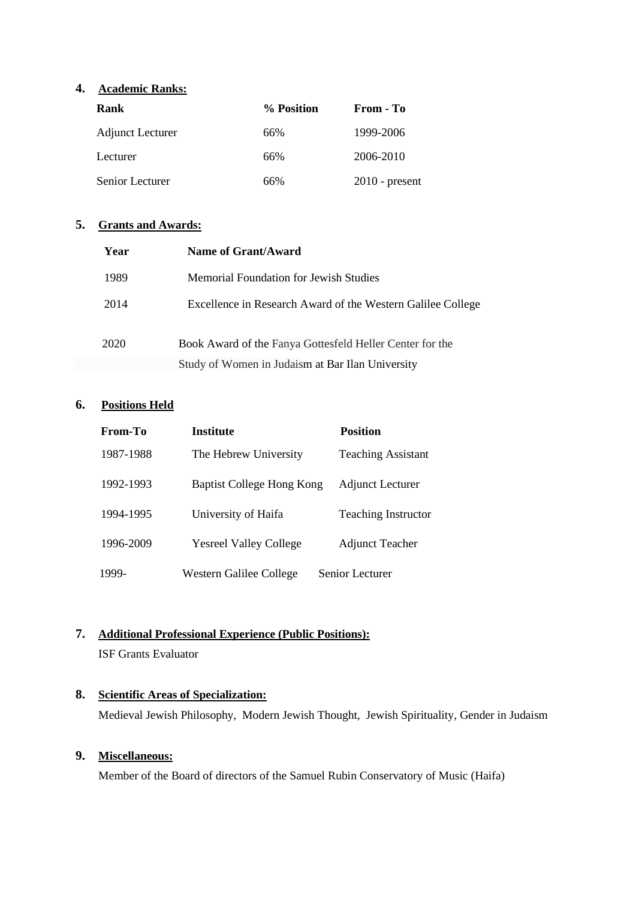## **4. Academic Ranks:**

| Rank                    | % Position | From - To        |
|-------------------------|------------|------------------|
| <b>Adjunct Lecturer</b> | 66%        | 1999-2006        |
| Lecturer                | 66%        | 2006-2010        |
| Senior Lecturer         | 66%        | $2010$ - present |

### **5. Grants and Awards:**

| Year | Name of Grant/Award                                         |
|------|-------------------------------------------------------------|
| 1989 | Memorial Foundation for Jewish Studies                      |
| 2014 | Excellence in Research Award of the Western Galilee College |
| 2020 | Book Award of the Fanya Gottesfeld Heller Center for the    |
|      | Study of Women in Judaism at Bar Ilan University            |

## **6. Positions Held**

| From-To   | <b>Institute</b>              | <b>Position</b>            |
|-----------|-------------------------------|----------------------------|
| 1987-1988 | The Hebrew University         | <b>Teaching Assistant</b>  |
| 1992-1993 | Baptist College Hong Kong     | <b>Adjunct Lecturer</b>    |
| 1994-1995 | University of Haifa           | <b>Teaching Instructor</b> |
| 1996-2009 | <b>Yesreel Valley College</b> | <b>Adjunct Teacher</b>     |
| 1999-     | Western Galilee College       | Senior Lecturer            |

## **7. Additional Professional Experience (Public Positions):**

ISF Grants Evaluator

## **8. Scientific Areas of Specialization:**

Medieval Jewish Philosophy, Modern Jewish Thought, Jewish Spirituality, Gender in Judaism

## **9. Miscellaneous:**

Member of the Board of directors of the Samuel Rubin Conservatory of Music (Haifa)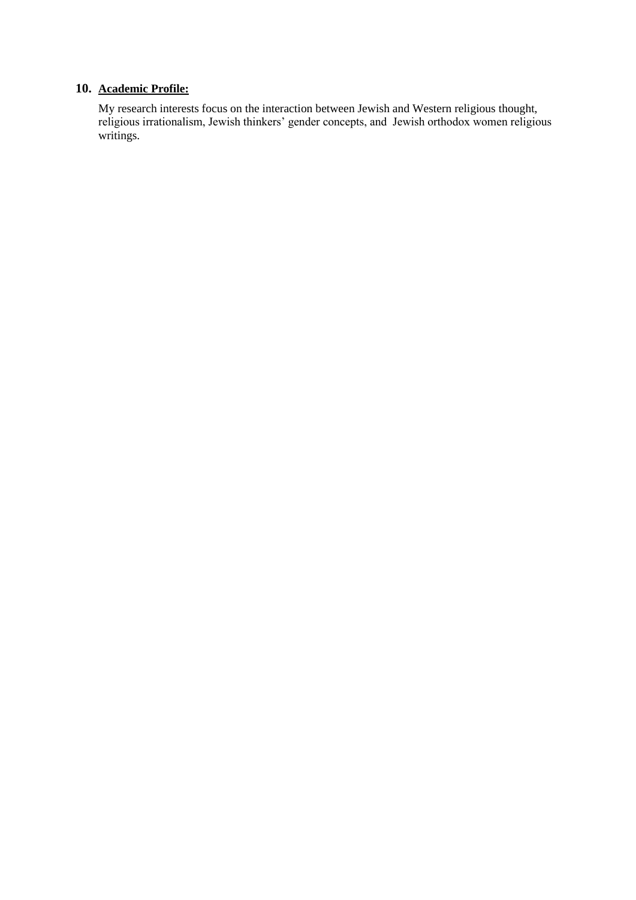## **10. Academic Profile:**

My research interests focus on the interaction between Jewish and Western religious thought, religious irrationalism, Jewish thinkers' gender concepts, and Jewish orthodox women religious writings.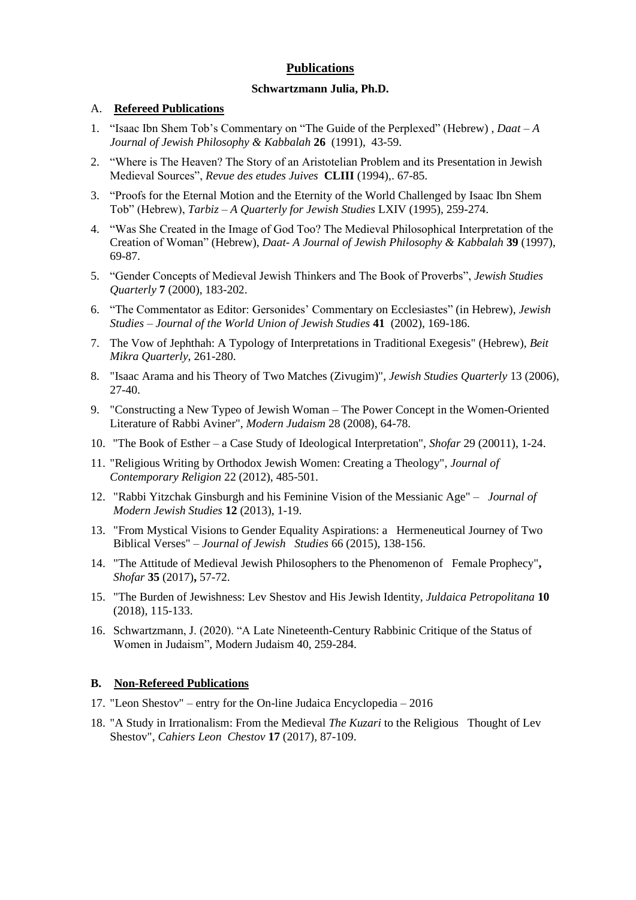## **Publications**

### **Schwartzmann Julia, Ph.D.**

### A. **Refereed Publications**

- 1. "Isaac Ibn Shem Tob's Commentary on "The Guide of the Perplexed" (Hebrew) , *Daat A Journal of Jewish Philosophy & Kabbalah* **26** (1991), 43-59.
- 2. "Where is The Heaven? The Story of an Aristotelian Problem and its Presentation in Jewish Medieval Sources", *Revue des etudes Juives* **CLIII** (1994),. 67-85.
- 3. "Proofs for the Eternal Motion and the Eternity of the World Challenged by Isaac Ibn Shem Tob" (Hebrew), *Tarbiz – A Quarterly for Jewish Studies* LXIV (1995), 259-274.
- 4. "Was She Created in the Image of God Too? The Medieval Philosophical Interpretation of the Creation of Woman" (Hebrew), *Daat- A Journal of Jewish Philosophy & Kabbalah* **39** (1997), 69-87.
- 5. "Gender Concepts of Medieval Jewish Thinkers and The Book of Proverbs", *Jewish Studies Quarterly* **7** (2000), 183-202.
- 6. "The Commentator as Editor: Gersonides' Commentary on Ecclesiastes" (in Hebrew), *Jewish Studies – Journal of the World Union of Jewish Studies* **41** (2002), 169-186.
- 7. The Vow of Jephthah: A Typology of Interpretations in Traditional Exegesis" (Hebrew), *Beit Mikra Quarterly*, 261-280.
- 8. "Isaac Arama and his Theory of Two Matches (Zivugim)", *Jewish Studies Quarterly* 13 (2006), 27-40.
- 9. "Constructing a New Typeo of Jewish Woman The Power Concept in the Women-Oriented Literature of Rabbi Aviner", *Modern Judaism* 28 (2008), 64-78.
- 10. "The Book of Esther a Case Study of Ideological Interpretation", *Shofar* 29 (20011), 1-24.
- 11. "Religious Writing by Orthodox Jewish Women: Creating a Theology", *Journal of Contemporary Religion* 22 (2012), 485-501.
- 12. "Rabbi Yitzchak Ginsburgh and his Feminine Vision of the Messianic Age" – *Journal of Modern Jewish Studies* **12** (2013), 1-19.
- 13. "From Mystical Visions to Gender Equality Aspirations: a Hermeneutical Journey of Two Biblical Verses" – *Journal of Jewish Studies* 66 (2015), 138-156.
- 14. "The Attitude of Medieval Jewish Philosophers to the Phenomenon of Female Prophecy"**,**  *Shofar* **35** (2017)**,** 57-72.
- 15. "The Burden of Jewishness: Lev Shestov and His Jewish Identity*, Juldaica Petropolitana* **10** (2018), 115-133.
- 16. Schwartzmann, J. (2020). "A Late Nineteenth-Century Rabbinic Critique of the Status of Women in Judaism", Modern Judaism 40, 259-284.

### **B. Non-Refereed Publications**

- 17. "Leon Shestov" entry for the On-line Judaica Encyclopedia 2016
- 18. "A Study in Irrationalism: From the Medieval *The Kuzari* to the Religious Thought of Lev Shestov", *Cahiers Leon Chestov* **17** (2017), 87-109.